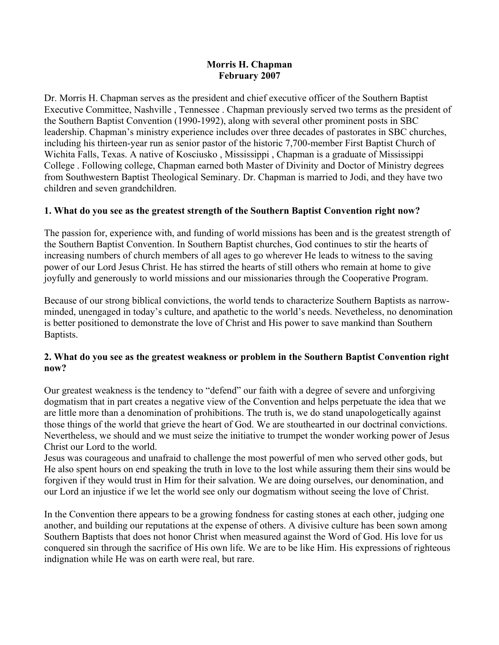#### **Morris H. Chapman February 2007**

Dr. Morris H. Chapman serves as the president and chief executive officer of the Southern Baptist Executive Committee, Nashville , Tennessee . Chapman previously served two terms as the president of the Southern Baptist Convention (1990-1992), along with several other prominent posts in SBC leadership. Chapman's ministry experience includes over three decades of pastorates in SBC churches, including his thirteen-year run as senior pastor of the historic 7,700-member First Baptist Church of Wichita Falls, Texas. A native of Kosciusko , Mississippi , Chapman is a graduate of Mississippi College . Following college, Chapman earned both Master of Divinity and Doctor of Ministry degrees from Southwestern Baptist Theological Seminary. Dr. Chapman is married to Jodi, and they have two children and seven grandchildren.

# **1. What do you see as the greatest strength of the Southern Baptist Convention right now?**

The passion for, experience with, and funding of world missions has been and is the greatest strength of the Southern Baptist Convention. In Southern Baptist churches, God continues to stir the hearts of increasing numbers of church members of all ages to go wherever He leads to witness to the saving power of our Lord Jesus Christ. He has stirred the hearts of still others who remain at home to give joyfully and generously to world missions and our missionaries through the Cooperative Program.

Because of our strong biblical convictions, the world tends to characterize Southern Baptists as narrowminded, unengaged in today's culture, and apathetic to the world's needs. Nevetheless, no denomination is better positioned to demonstrate the love of Christ and His power to save mankind than Southern Baptists.

## **2. What do you see as the greatest weakness or problem in the Southern Baptist Convention right now?**

Our greatest weakness is the tendency to "defend" our faith with a degree of severe and unforgiving dogmatism that in part creates a negative view of the Convention and helps perpetuate the idea that we are little more than a denomination of prohibitions. The truth is, we do stand unapologetically against those things of the world that grieve the heart of God. We are stouthearted in our doctrinal convictions. Nevertheless, we should and we must seize the initiative to trumpet the wonder working power of Jesus Christ our Lord to the world.

Jesus was courageous and unafraid to challenge the most powerful of men who served other gods, but He also spent hours on end speaking the truth in love to the lost while assuring them their sins would be forgiven if they would trust in Him for their salvation. We are doing ourselves, our denomination, and our Lord an injustice if we let the world see only our dogmatism without seeing the love of Christ.

In the Convention there appears to be a growing fondness for casting stones at each other, judging one another, and building our reputations at the expense of others. A divisive culture has been sown among Southern Baptists that does not honor Christ when measured against the Word of God. His love for us conquered sin through the sacrifice of His own life. We are to be like Him. His expressions of righteous indignation while He was on earth were real, but rare.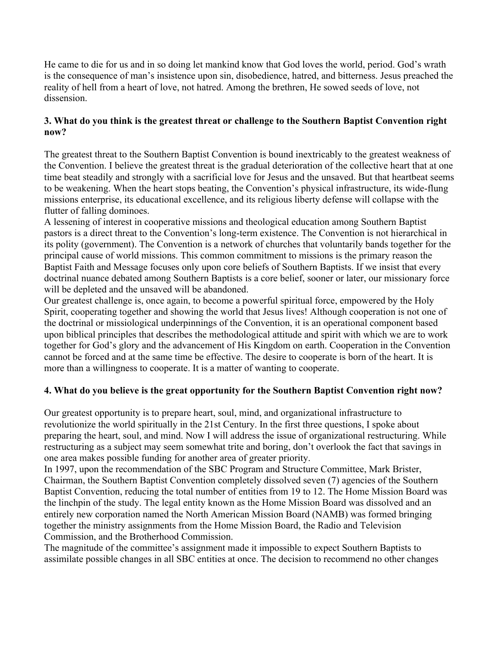He came to die for us and in so doing let mankind know that God loves the world, period. God's wrath is the consequence of man's insistence upon sin, disobedience, hatred, and bitterness. Jesus preached the reality of hell from a heart of love, not hatred. Among the brethren, He sowed seeds of love, not dissension.

## **3. What do you think is the greatest threat or challenge to the Southern Baptist Convention right now?**

The greatest threat to the Southern Baptist Convention is bound inextricably to the greatest weakness of the Convention. I believe the greatest threat is the gradual deterioration of the collective heart that at one time beat steadily and strongly with a sacrificial love for Jesus and the unsaved. But that heartbeat seems to be weakening. When the heart stops beating, the Convention's physical infrastructure, its wide-flung missions enterprise, its educational excellence, and its religious liberty defense will collapse with the flutter of falling dominoes.

A lessening of interest in cooperative missions and theological education among Southern Baptist pastors is a direct threat to the Convention's long-term existence. The Convention is not hierarchical in its polity (government). The Convention is a network of churches that voluntarily bands together for the principal cause of world missions. This common commitment to missions is the primary reason the Baptist Faith and Message focuses only upon core beliefs of Southern Baptists. If we insist that every doctrinal nuance debated among Southern Baptists is a core belief, sooner or later, our missionary force will be depleted and the unsaved will be abandoned.

Our greatest challenge is, once again, to become a powerful spiritual force, empowered by the Holy Spirit, cooperating together and showing the world that Jesus lives! Although cooperation is not one of the doctrinal or missiological underpinnings of the Convention, it is an operational component based upon biblical principles that describes the methodological attitude and spirit with which we are to work together for God's glory and the advancement of His Kingdom on earth. Cooperation in the Convention cannot be forced and at the same time be effective. The desire to cooperate is born of the heart. It is more than a willingness to cooperate. It is a matter of wanting to cooperate.

# **4. What do you believe is the great opportunity for the Southern Baptist Convention right now?**

Our greatest opportunity is to prepare heart, soul, mind, and organizational infrastructure to revolutionize the world spiritually in the 21st Century. In the first three questions, I spoke about preparing the heart, soul, and mind. Now I will address the issue of organizational restructuring. While restructuring as a subject may seem somewhat trite and boring, don't overlook the fact that savings in one area makes possible funding for another area of greater priority.

In 1997, upon the recommendation of the SBC Program and Structure Committee, Mark Brister, Chairman, the Southern Baptist Convention completely dissolved seven (7) agencies of the Southern Baptist Convention, reducing the total number of entities from 19 to 12. The Home Mission Board was the linchpin of the study. The legal entity known as the Home Mission Board was dissolved and an entirely new corporation named the North American Mission Board (NAMB) was formed bringing together the ministry assignments from the Home Mission Board, the Radio and Television Commission, and the Brotherhood Commission.

The magnitude of the committee's assignment made it impossible to expect Southern Baptists to assimilate possible changes in all SBC entities at once. The decision to recommend no other changes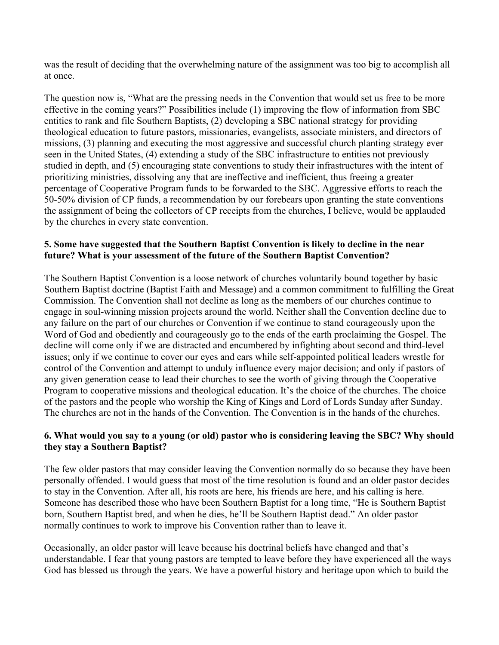was the result of deciding that the overwhelming nature of the assignment was too big to accomplish all at once.

The question now is, "What are the pressing needs in the Convention that would set us free to be more effective in the coming years?" Possibilities include (1) improving the flow of information from SBC entities to rank and file Southern Baptists, (2) developing a SBC national strategy for providing theological education to future pastors, missionaries, evangelists, associate ministers, and directors of missions, (3) planning and executing the most aggressive and successful church planting strategy ever seen in the United States, (4) extending a study of the SBC infrastructure to entities not previously studied in depth, and (5) encouraging state conventions to study their infrastructures with the intent of prioritizing ministries, dissolving any that are ineffective and inefficient, thus freeing a greater percentage of Cooperative Program funds to be forwarded to the SBC. Aggressive efforts to reach the 50-50% division of CP funds, a recommendation by our forebears upon granting the state conventions the assignment of being the collectors of CP receipts from the churches, I believe, would be applauded by the churches in every state convention.

## **5. Some have suggested that the Southern Baptist Convention is likely to decline in the near future? What is your assessment of the future of the Southern Baptist Convention?**

The Southern Baptist Convention is a loose network of churches voluntarily bound together by basic Southern Baptist doctrine (Baptist Faith and Message) and a common commitment to fulfilling the Great Commission. The Convention shall not decline as long as the members of our churches continue to engage in soul-winning mission projects around the world. Neither shall the Convention decline due to any failure on the part of our churches or Convention if we continue to stand courageously upon the Word of God and obediently and courageously go to the ends of the earth proclaiming the Gospel. The decline will come only if we are distracted and encumbered by infighting about second and third-level issues; only if we continue to cover our eyes and ears while self-appointed political leaders wrestle for control of the Convention and attempt to unduly influence every major decision; and only if pastors of any given generation cease to lead their churches to see the worth of giving through the Cooperative Program to cooperative missions and theological education. It's the choice of the churches. The choice of the pastors and the people who worship the King of Kings and Lord of Lords Sunday after Sunday. The churches are not in the hands of the Convention. The Convention is in the hands of the churches.

## **6. What would you say to a young (or old) pastor who is considering leaving the SBC? Why should they stay a Southern Baptist?**

The few older pastors that may consider leaving the Convention normally do so because they have been personally offended. I would guess that most of the time resolution is found and an older pastor decides to stay in the Convention. After all, his roots are here, his friends are here, and his calling is here. Someone has described those who have been Southern Baptist for a long time, "He is Southern Baptist born, Southern Baptist bred, and when he dies, he'll be Southern Baptist dead." An older pastor normally continues to work to improve his Convention rather than to leave it.

Occasionally, an older pastor will leave because his doctrinal beliefs have changed and that's understandable. I fear that young pastors are tempted to leave before they have experienced all the ways God has blessed us through the years. We have a powerful history and heritage upon which to build the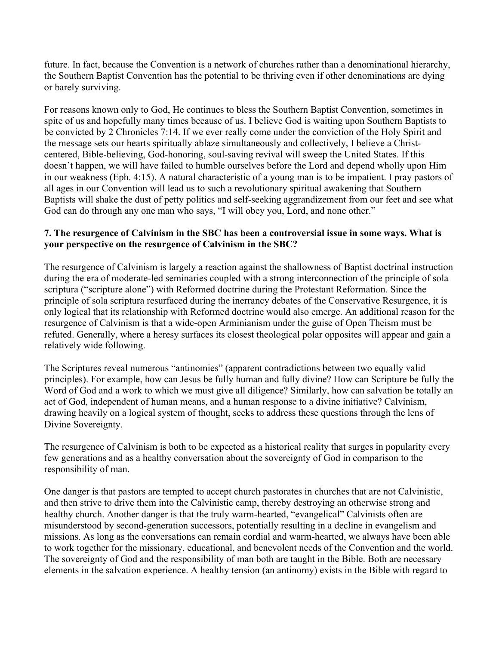future. In fact, because the Convention is a network of churches rather than a denominational hierarchy, the Southern Baptist Convention has the potential to be thriving even if other denominations are dying or barely surviving.

For reasons known only to God, He continues to bless the Southern Baptist Convention, sometimes in spite of us and hopefully many times because of us. I believe God is waiting upon Southern Baptists to be convicted by 2 Chronicles 7:14. If we ever really come under the conviction of the Holy Spirit and the message sets our hearts spiritually ablaze simultaneously and collectively, I believe a Christcentered, Bible-believing, God-honoring, soul-saving revival will sweep the United States. If this doesn't happen, we will have failed to humble ourselves before the Lord and depend wholly upon Him in our weakness (Eph. 4:15). A natural characteristic of a young man is to be impatient. I pray pastors of all ages in our Convention will lead us to such a revolutionary spiritual awakening that Southern Baptists will shake the dust of petty politics and self-seeking aggrandizement from our feet and see what God can do through any one man who says, "I will obey you, Lord, and none other."

#### **7. The resurgence of Calvinism in the SBC has been a controversial issue in some ways. What is your perspective on the resurgence of Calvinism in the SBC?**

The resurgence of Calvinism is largely a reaction against the shallowness of Baptist doctrinal instruction during the era of moderate-led seminaries coupled with a strong interconnection of the principle of sola scriptura ("scripture alone") with Reformed doctrine during the Protestant Reformation. Since the principle of sola scriptura resurfaced during the inerrancy debates of the Conservative Resurgence, it is only logical that its relationship with Reformed doctrine would also emerge. An additional reason for the resurgence of Calvinism is that a wide-open Arminianism under the guise of Open Theism must be refuted. Generally, where a heresy surfaces its closest theological polar opposites will appear and gain a relatively wide following.

The Scriptures reveal numerous "antinomies" (apparent contradictions between two equally valid principles). For example, how can Jesus be fully human and fully divine? How can Scripture be fully the Word of God and a work to which we must give all diligence? Similarly, how can salvation be totally an act of God, independent of human means, and a human response to a divine initiative? Calvinism, drawing heavily on a logical system of thought, seeks to address these questions through the lens of Divine Sovereignty.

The resurgence of Calvinism is both to be expected as a historical reality that surges in popularity every few generations and as a healthy conversation about the sovereignty of God in comparison to the responsibility of man.

One danger is that pastors are tempted to accept church pastorates in churches that are not Calvinistic, and then strive to drive them into the Calvinistic camp, thereby destroying an otherwise strong and healthy church. Another danger is that the truly warm-hearted, "evangelical" Calvinists often are misunderstood by second-generation successors, potentially resulting in a decline in evangelism and missions. As long as the conversations can remain cordial and warm-hearted, we always have been able to work together for the missionary, educational, and benevolent needs of the Convention and the world. The sovereignty of God and the responsibility of man both are taught in the Bible. Both are necessary elements in the salvation experience. A healthy tension (an antinomy) exists in the Bible with regard to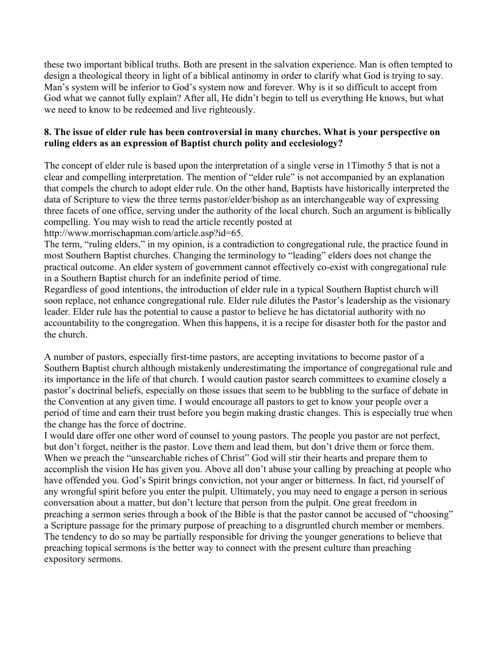these two important biblical truths. Both are present in the salvation experience. Man is often tempted to design a theological theory in light of a biblical antinomy in order to clarify what God is trying to say. Man's system will be inferior to God's system now and forever. Why is it so difficult to accept from God what we cannot fully explain? After all, He didn't begin to tell us everything He knows, but what we need to know to be redeemed and live righteously.

## **8. The issue of elder rule has been controversial in many churches. What is your perspective on ruling elders as an expression of Baptist church polity and ecclesiology?**

The concept of elder rule is based upon the interpretation of a single verse in 1Timothy 5 that is not a clear and compelling interpretation. The mention of "elder rule" is not accompanied by an explanation that compels the church to adopt elder rule. On the other hand, Baptists have historically interpreted the data of Scripture to view the three terms pastor/elder/bishop as an interchangeable way of expressing three facets of one office, serving under the authority of the local church. Such an argument is biblically compelling. You may wish to read the article recently posted at

http://www.morrischapman.com/article.asp?id=65.

The term, "ruling elders," in my opinion, is a contradiction to congregational rule, the practice found in most Southern Baptist churches. Changing the terminology to "leading" elders does not change the practical outcome. An elder system of government cannot effectively co-exist with congregational rule in a Southern Baptist church for an indefinite period of time.

Regardless of good intentions, the introduction of elder rule in a typical Southern Baptist church will soon replace, not enhance congregational rule. Elder rule dilutes the Pastor's leadership as the visionary leader. Elder rule has the potential to cause a pastor to believe he has dictatorial authority with no accountability to the congregation. When this happens, it is a recipe for disaster both for the pastor and the church.

A number of pastors, especially first-time pastors, are accepting invitations to become pastor of a Southern Baptist church although mistakenly underestimating the importance of congregational rule and its importance in the life of that church. I would caution pastor search committees to examine closely a pastor's doctrinal beliefs, especially on those issues that seem to be bubbling to the surface of debate in the Convention at any given time. I would encourage all pastors to get to know your people over a period of time and earn their trust before you begin making drastic changes. This is especially true when the change has the force of doctrine.

I would dare offer one other word of counsel to young pastors. The people you pastor are not perfect, but don't forget, neither is the pastor. Love them and lead them, but don't drive them or force them. When we preach the "unsearchable riches of Christ" God will stir their hearts and prepare them to accomplish the vision He has given you. Above all don't abuse your calling by preaching at people who have offended you. God's Spirit brings conviction, not your anger or bitterness. In fact, rid yourself of any wrongful spirit before you enter the pulpit. Ultimately, you may need to engage a person in serious conversation about a matter, but don't lecture that person from the pulpit. One great freedom in preaching a sermon series through a book of the Bible is that the pastor cannot be accused of "choosing" a Scripture passage for the primary purpose of preaching to a disgruntled church member or members. The tendency to do so may be partially responsible for driving the younger generations to believe that preaching topical sermons is the better way to connect with the present culture than preaching expository sermons.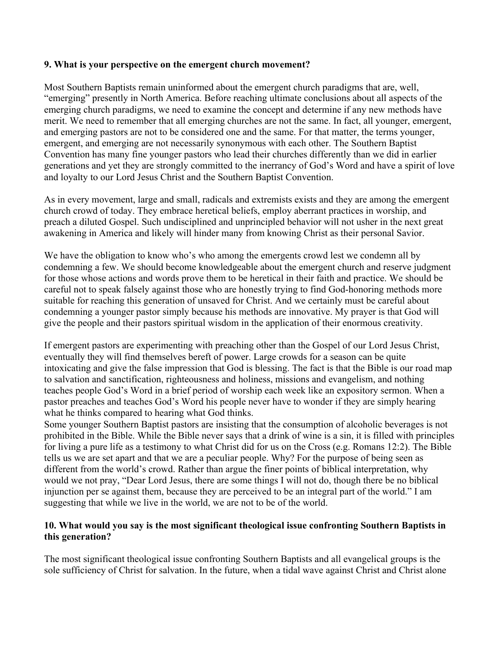#### **9. What is your perspective on the emergent church movement?**

Most Southern Baptists remain uninformed about the emergent church paradigms that are, well, "emerging" presently in North America. Before reaching ultimate conclusions about all aspects of the emerging church paradigms, we need to examine the concept and determine if any new methods have merit. We need to remember that all emerging churches are not the same. In fact, all younger, emergent, and emerging pastors are not to be considered one and the same. For that matter, the terms younger, emergent, and emerging are not necessarily synonymous with each other. The Southern Baptist Convention has many fine younger pastors who lead their churches differently than we did in earlier generations and yet they are strongly committed to the inerrancy of God's Word and have a spirit of love and loyalty to our Lord Jesus Christ and the Southern Baptist Convention.

As in every movement, large and small, radicals and extremists exists and they are among the emergent church crowd of today. They embrace heretical beliefs, employ aberrant practices in worship, and preach a diluted Gospel. Such undisciplined and unprincipled behavior will not usher in the next great awakening in America and likely will hinder many from knowing Christ as their personal Savior.

We have the obligation to know who's who among the emergents crowd lest we condemn all by condemning a few. We should become knowledgeable about the emergent church and reserve judgment for those whose actions and words prove them to be heretical in their faith and practice. We should be careful not to speak falsely against those who are honestly trying to find God-honoring methods more suitable for reaching this generation of unsaved for Christ. And we certainly must be careful about condemning a younger pastor simply because his methods are innovative. My prayer is that God will give the people and their pastors spiritual wisdom in the application of their enormous creativity.

If emergent pastors are experimenting with preaching other than the Gospel of our Lord Jesus Christ, eventually they will find themselves bereft of power. Large crowds for a season can be quite intoxicating and give the false impression that God is blessing. The fact is that the Bible is our road map to salvation and sanctification, righteousness and holiness, missions and evangelism, and nothing teaches people God's Word in a brief period of worship each week like an expository sermon. When a pastor preaches and teaches God's Word his people never have to wonder if they are simply hearing what he thinks compared to hearing what God thinks.

Some younger Southern Baptist pastors are insisting that the consumption of alcoholic beverages is not prohibited in the Bible. While the Bible never says that a drink of wine is a sin, it is filled with principles for living a pure life as a testimony to what Christ did for us on the Cross (e.g. Romans 12:2). The Bible tells us we are set apart and that we are a peculiar people. Why? For the purpose of being seen as different from the world's crowd. Rather than argue the finer points of biblical interpretation, why would we not pray, "Dear Lord Jesus, there are some things I will not do, though there be no biblical injunction per se against them, because they are perceived to be an integral part of the world." I am suggesting that while we live in the world, we are not to be of the world.

## **10. What would you say is the most significant theological issue confronting Southern Baptists in this generation?**

The most significant theological issue confronting Southern Baptists and all evangelical groups is the sole sufficiency of Christ for salvation. In the future, when a tidal wave against Christ and Christ alone